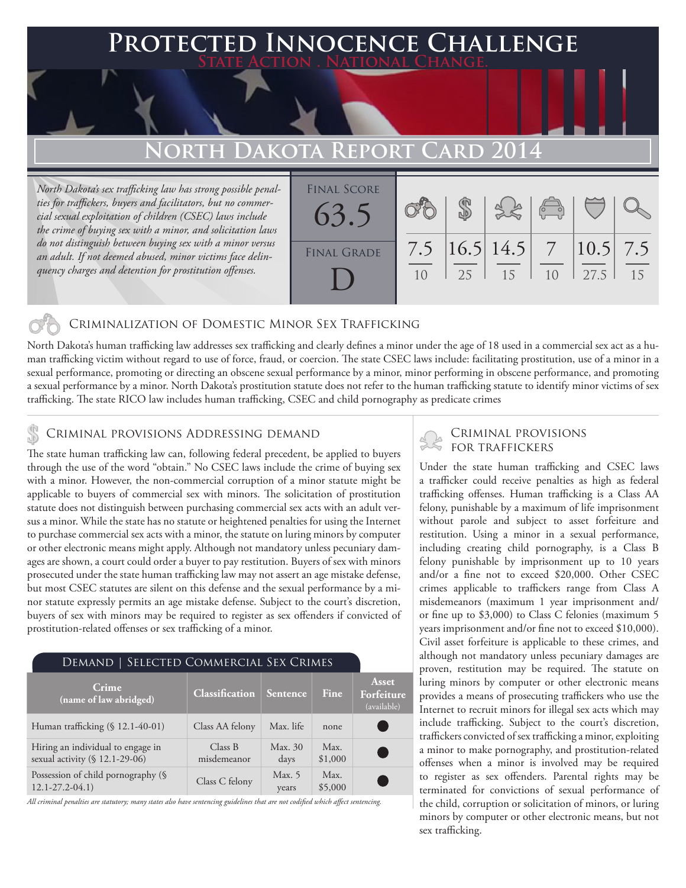### **FED INNOCENCE CHALLENGE State Action . National Change.**

# **North Dakota Report Card 2014**

*North Dakota's sex trafficking law has strong possible penalties for traffickers, buyers and facilitators, but no commercial sexual exploitation of children (CSEC) laws include the crime of buying sex with a minor, and solicitation laws do not distinguish between buying sex with a minor versus an adult. If not deemed abused, minor victims face delinquency charges and detention for prostitution offenses.*

| <b>FINAL SCORE</b><br>63.5 |            |                           | $\frac{1}{2}$ |                       |    |
|----------------------------|------------|---------------------------|---------------|-----------------------|----|
| <b>FINAL GRADE</b>         | $25 \perp$ | 7.5 $ 16.5 14.5 $ 7<br>15 | 10            | $ 10.5 $ 7.5<br>127.5 | 15 |

#### Criminalization of Domestic Minor Sex Trafficking

North Dakota's human trafficking law addresses sex trafficking and clearly defines a minor under the age of 18 used in a commercial sex act as a human trafficking victim without regard to use of force, fraud, or coercion. The state CSEC laws include: facilitating prostitution, use of a minor in a sexual performance, promoting or directing an obscene sexual performance by a minor, minor performing in obscene performance, and promoting a sexual performance by a minor. North Dakota's prostitution statute does not refer to the human trafficking statute to identify minor victims of sex trafficking. The state RICO law includes human trafficking, CSEC and child pornography as predicate crimes

#### Criminal provisions Addressing demand

The state human trafficking law can, following federal precedent, be applied to buyers through the use of the word "obtain." No CSEC laws include the crime of buying sex with a minor. However, the non-commercial corruption of a minor statute might be applicable to buyers of commercial sex with minors. The solicitation of prostitution statute does not distinguish between purchasing commercial sex acts with an adult versus a minor. While the state has no statute or heightened penalties for using the Internet to purchase commercial sex acts with a minor, the statute on luring minors by computer or other electronic means might apply. Although not mandatory unless pecuniary damages are shown, a court could order a buyer to pay restitution. Buyers of sex with minors prosecuted under the state human trafficking law may not assert an age mistake defense, but most CSEC statutes are silent on this defense and the sexual performance by a minor statute expressly permits an age mistake defense. Subject to the court's discretion, buyers of sex with minors may be required to register as sex offenders if convicted of prostitution-related offenses or sex trafficking of a minor.

#### Demand | Selected Commercial Sex Crimes

| Crime<br>$\sqrt{2}$ (name of law abridged)                          | <b>Classification</b>  | <i><b>Sentence</b></i> | Fine            | <b>Asset</b><br>Forfeiture<br>(available) |
|---------------------------------------------------------------------|------------------------|------------------------|-----------------|-------------------------------------------|
| Human trafficking (§ 12.1-40-01)                                    | Class AA felony        | Max. life              | none            |                                           |
| Hiring an individual to engage in<br>sexual activity (§ 12.1-29-06) | Class B<br>misdemeanor | Max. 30<br>days        | Max.<br>\$1,000 |                                           |
| Possession of child pornography (§<br>$12.1 - 27.2 - 04.1$          | Class C felony         | Max. $5$<br>years      | Max.<br>\$5,000 |                                           |

*All criminal penalties are statutory; many states also have sentencing guidelines that are not codified which affect sentencing.* 

# Criminal provisions

Under the state human trafficking and CSEC laws a trafficker could receive penalties as high as federal trafficking offenses. Human trafficking is a Class AA felony, punishable by a maximum of life imprisonment without parole and subject to asset forfeiture and restitution. Using a minor in a sexual performance, including creating child pornography, is a Class B felony punishable by imprisonment up to 10 years and/or a fine not to exceed \$20,000. Other CSEC crimes applicable to traffickers range from Class A misdemeanors (maximum 1 year imprisonment and/ or fine up to \$3,000) to Class C felonies (maximum 5 years imprisonment and/or fine not to exceed \$10,000). Civil asset forfeiture is applicable to these crimes, and although not mandatory unless pecuniary damages are proven, restitution may be required. The statute on luring minors by computer or other electronic means provides a means of prosecuting traffickers who use the Internet to recruit minors for illegal sex acts which may include trafficking. Subject to the court's discretion, traffickers convicted of sex trafficking a minor, exploiting a minor to make pornography, and prostitution-related offenses when a minor is involved may be required to register as sex offenders. Parental rights may be terminated for convictions of sexual performance of the child, corruption or solicitation of minors, or luring minors by computer or other electronic means, but not sex trafficking.